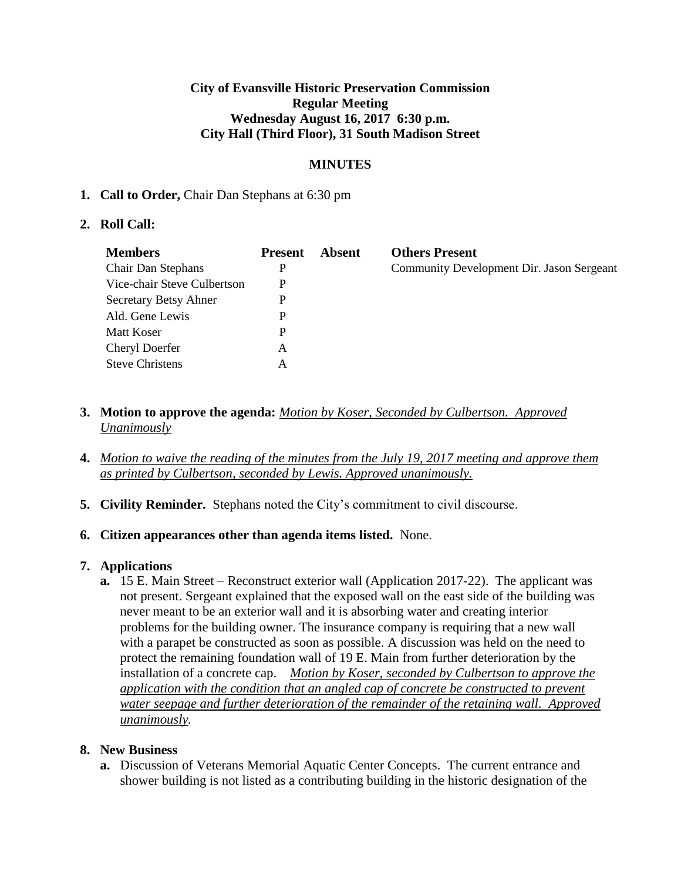### **City of Evansville Historic Preservation Commission Regular Meeting Wednesday August 16, 2017 6:30 p.m. City Hall (Third Floor), 31 South Madison Street**

## **MINUTES**

### **1. Call to Order,** Chair Dan Stephans at 6:30 pm

### **2. Roll Call:**

| <b>Members</b>               | <b>Present</b> | Absent | <b>Others Present</b>                     |
|------------------------------|----------------|--------|-------------------------------------------|
| <b>Chair Dan Stephans</b>    | P              |        | Community Development Dir. Jason Sergeant |
| Vice-chair Steve Culbertson  | P              |        |                                           |
| <b>Secretary Betsy Ahner</b> | P              |        |                                           |
| Ald. Gene Lewis              | P              |        |                                           |
| Matt Koser                   | P              |        |                                           |
| <b>Cheryl Doerfer</b>        | A              |        |                                           |
| <b>Steve Christens</b>       | A              |        |                                           |

- **3. Motion to approve the agenda:** *Motion by Koser, Seconded by Culbertson. Approved Unanimously*
- **4.** *Motion to waive the reading of the minutes from the July 19, 2017 meeting and approve them as printed by Culbertson, seconded by Lewis. Approved unanimously.*
- **5. Civility Reminder.** Stephans noted the City's commitment to civil discourse.

#### **6. Citizen appearances other than agenda items listed.** None.

## **7. Applications**

**a.** 15 E. Main Street – Reconstruct exterior wall (Application 2017-22). The applicant was not present. Sergeant explained that the exposed wall on the east side of the building was never meant to be an exterior wall and it is absorbing water and creating interior problems for the building owner. The insurance company is requiring that a new wall with a parapet be constructed as soon as possible. A discussion was held on the need to protect the remaining foundation wall of 19 E. Main from further deterioration by the installation of a concrete cap. *Motion by Koser, seconded by Culbertson to approve the application with the condition that an angled cap of concrete be constructed to prevent water seepage and further deterioration of the remainder of the retaining wall. Approved unanimously.* 

## **8. New Business**

**a.** Discussion of Veterans Memorial Aquatic Center Concepts. The current entrance and shower building is not listed as a contributing building in the historic designation of the